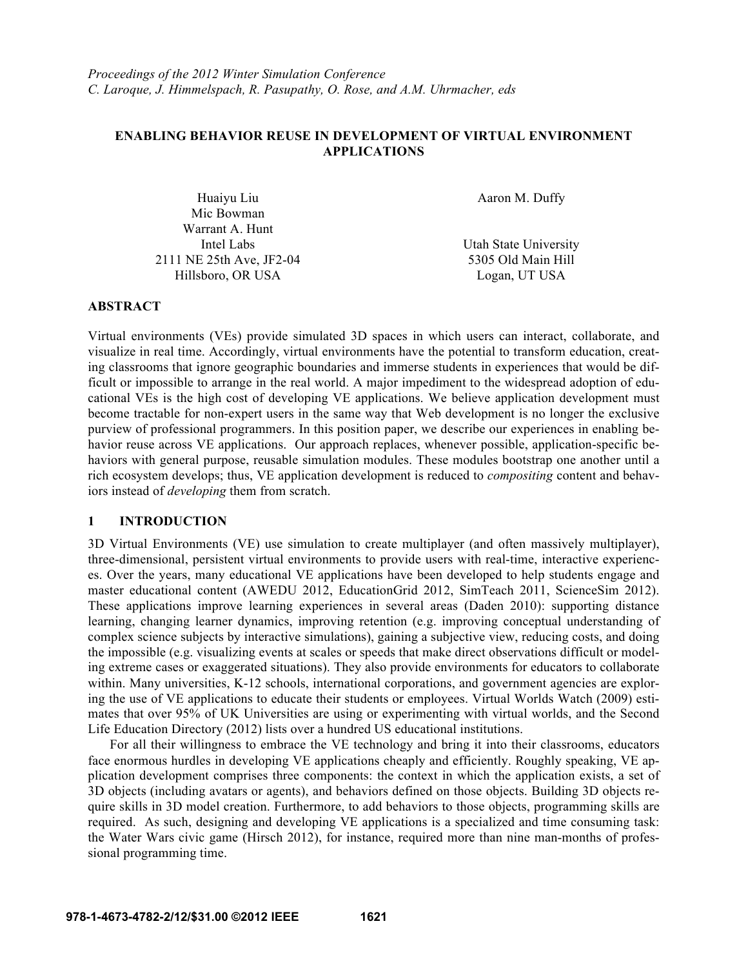## **ENABLING BEHAVIOR REUSE IN DEVELOPMENT OF VIRTUAL ENVIRONMENT APPLICATIONS**

Huaiyu Liu Mic Bowman Warrant A. Hunt 2111 NE 25th Ave, JF2-04 5305 Old Main Hill Hillsboro, OR USA Logan, UT USA

Aaron M. Duffy

Intel Labs Utah State University

#### **ABSTRACT**

Virtual environments (VEs) provide simulated 3D spaces in which users can interact, collaborate, and visualize in real time. Accordingly, virtual environments have the potential to transform education, creating classrooms that ignore geographic boundaries and immerse students in experiences that would be difficult or impossible to arrange in the real world. A major impediment to the widespread adoption of educational VEs is the high cost of developing VE applications. We believe application development must become tractable for non-expert users in the same way that Web development is no longer the exclusive purview of professional programmers. In this position paper, we describe our experiences in enabling behavior reuse across VE applications. Our approach replaces, whenever possible, application-specific behaviors with general purpose, reusable simulation modules. These modules bootstrap one another until a rich ecosystem develops; thus, VE application development is reduced to *compositing* content and behaviors instead of *developing* them from scratch.

#### **1 INTRODUCTION**

3D Virtual Environments (VE) use simulation to create multiplayer (and often massively multiplayer), three-dimensional, persistent virtual environments to provide users with real-time, interactive experiences. Over the years, many educational VE applications have been developed to help students engage and master educational content (AWEDU 2012, EducationGrid 2012, SimTeach 2011, ScienceSim 2012). These applications improve learning experiences in several areas (Daden 2010): supporting distance learning, changing learner dynamics, improving retention (e.g. improving conceptual understanding of complex science subjects by interactive simulations), gaining a subjective view, reducing costs, and doing the impossible (e.g. visualizing events at scales or speeds that make direct observations difficult or modeling extreme cases or exaggerated situations). They also provide environments for educators to collaborate within. Many universities, K-12 schools, international corporations, and government agencies are exploring the use of VE applications to educate their students or employees. Virtual Worlds Watch (2009) estimates that over 95% of UK Universities are using or experimenting with virtual worlds, and the Second Life Education Directory (2012) lists over a hundred US educational institutions.

For all their willingness to embrace the VE technology and bring it into their classrooms, educators face enormous hurdles in developing VE applications cheaply and efficiently. Roughly speaking, VE application development comprises three components: the context in which the application exists, a set of 3D objects (including avatars or agents), and behaviors defined on those objects. Building 3D objects require skills in 3D model creation. Furthermore, to add behaviors to those objects, programming skills are required. As such, designing and developing VE applications is a specialized and time consuming task: the Water Wars civic game (Hirsch 2012), for instance, required more than nine man-months of professional programming time.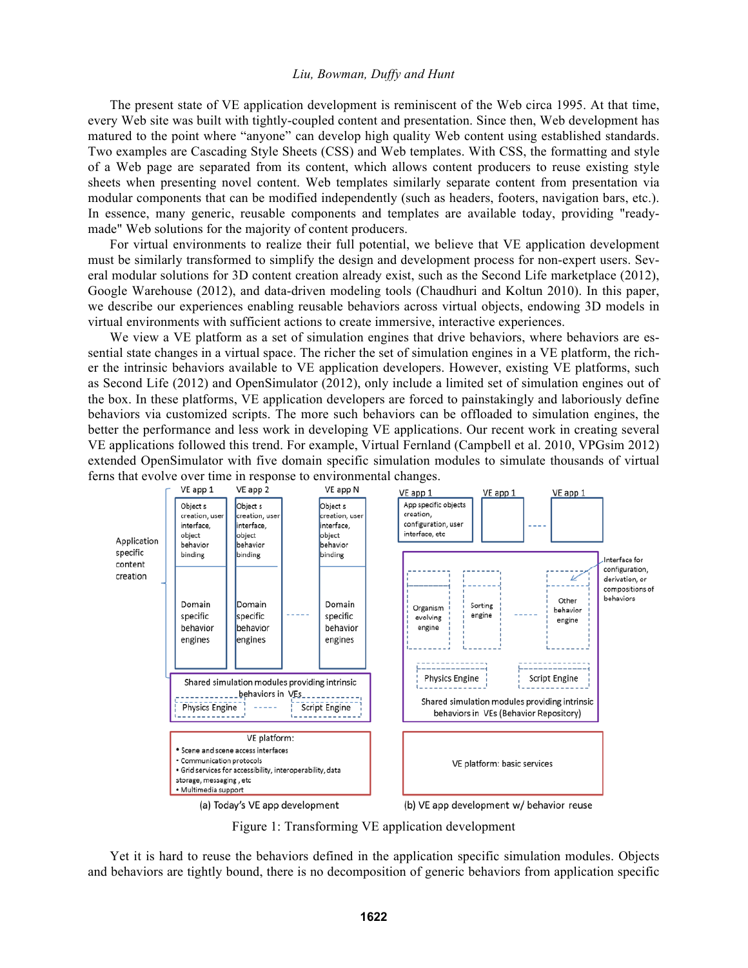The present state of VE application development is reminiscent of the Web circa 1995. At that time, every Web site was built with tightly-coupled content and presentation. Since then, Web development has matured to the point where "anyone" can develop high quality Web content using established standards. Two examples are Cascading Style Sheets (CSS) and Web templates. With CSS, the formatting and style of a Web page are separated from its content, which allows content producers to reuse existing style sheets when presenting novel content. Web templates similarly separate content from presentation via modular components that can be modified independently (such as headers, footers, navigation bars, etc.). In essence, many generic, reusable components and templates are available today, providing "readymade" Web solutions for the majority of content producers.

For virtual environments to realize their full potential, we believe that VE application development must be similarly transformed to simplify the design and development process for non-expert users. Several modular solutions for 3D content creation already exist, such as the Second Life marketplace (2012), Google Warehouse (2012), and data-driven modeling tools (Chaudhuri and Koltun 2010). In this paper, we describe our experiences enabling reusable behaviors across virtual objects, endowing 3D models in virtual environments with sufficient actions to create immersive, interactive experiences.

We view a VE platform as a set of simulation engines that drive behaviors, where behaviors are essential state changes in a virtual space. The richer the set of simulation engines in a VE platform, the richer the intrinsic behaviors available to VE application developers. However, existing VE platforms, such as Second Life (2012) and OpenSimulator (2012), only include a limited set of simulation engines out of the box. In these platforms, VE application developers are forced to painstakingly and laboriously define behaviors via customized scripts. The more such behaviors can be offloaded to simulation engines, the better the performance and less work in developing VE applications. Our recent work in creating several VE applications followed this trend. For example, Virtual Fernland (Campbell et al. 2010, VPGsim 2012) extended OpenSimulator with five domain specific simulation modules to simulate thousands of virtual ferns that evolve over time in response to environmental changes.



Figure 1: Transforming VE application development

Yet it is hard to reuse the behaviors defined in the application specific simulation modules. Objects and behaviors are tightly bound, there is no decomposition of generic behaviors from application specific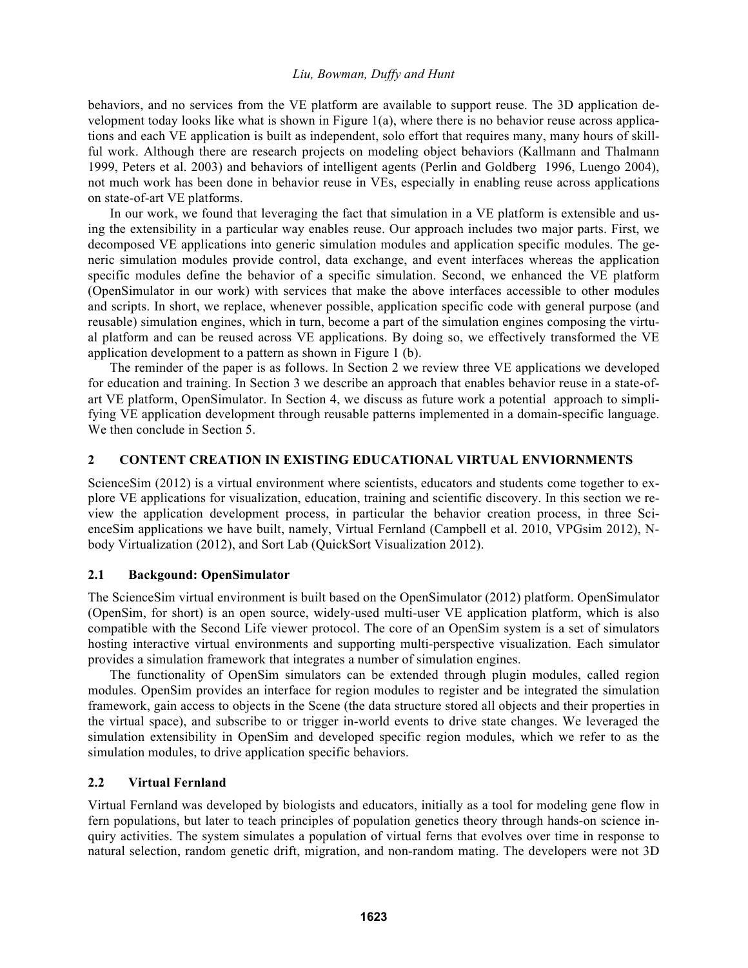behaviors, and no services from the VE platform are available to support reuse. The 3D application development today looks like what is shown in Figure 1(a), where there is no behavior reuse across applications and each VE application is built as independent, solo effort that requires many, many hours of skillful work. Although there are research projects on modeling object behaviors (Kallmann and Thalmann 1999, Peters et al. 2003) and behaviors of intelligent agents (Perlin and Goldberg 1996, Luengo 2004), not much work has been done in behavior reuse in VEs, especially in enabling reuse across applications on state-of-art VE platforms.

In our work, we found that leveraging the fact that simulation in a VE platform is extensible and using the extensibility in a particular way enables reuse. Our approach includes two major parts. First, we decomposed VE applications into generic simulation modules and application specific modules. The generic simulation modules provide control, data exchange, and event interfaces whereas the application specific modules define the behavior of a specific simulation. Second, we enhanced the VE platform (OpenSimulator in our work) with services that make the above interfaces accessible to other modules and scripts. In short, we replace, whenever possible, application specific code with general purpose (and reusable) simulation engines, which in turn, become a part of the simulation engines composing the virtual platform and can be reused across VE applications. By doing so, we effectively transformed the VE application development to a pattern as shown in Figure 1 (b).

The reminder of the paper is as follows. In Section 2 we review three VE applications we developed for education and training. In Section 3 we describe an approach that enables behavior reuse in a state-ofart VE platform, OpenSimulator. In Section 4, we discuss as future work a potential approach to simplifying VE application development through reusable patterns implemented in a domain-specific language. We then conclude in Section 5.

#### **2 CONTENT CREATION IN EXISTING EDUCATIONAL VIRTUAL ENVIORNMENTS**

ScienceSim (2012) is a virtual environment where scientists, educators and students come together to explore VE applications for visualization, education, training and scientific discovery. In this section we review the application development process, in particular the behavior creation process, in three ScienceSim applications we have built, namely, Virtual Fernland (Campbell et al. 2010, VPGsim 2012), Nbody Virtualization (2012), and Sort Lab (QuickSort Visualization 2012).

#### **2.1 Backgound: OpenSimulator**

The ScienceSim virtual environment is built based on the OpenSimulator (2012) platform. OpenSimulator (OpenSim, for short) is an open source, widely-used multi-user VE application platform, which is also compatible with the Second Life viewer protocol. The core of an OpenSim system is a set of simulators hosting interactive virtual environments and supporting multi-perspective visualization. Each simulator provides a simulation framework that integrates a number of simulation engines.

The functionality of OpenSim simulators can be extended through plugin modules, called region modules. OpenSim provides an interface for region modules to register and be integrated the simulation framework, gain access to objects in the Scene (the data structure stored all objects and their properties in the virtual space), and subscribe to or trigger in-world events to drive state changes. We leveraged the simulation extensibility in OpenSim and developed specific region modules, which we refer to as the simulation modules, to drive application specific behaviors.

#### **2.2 Virtual Fernland**

Virtual Fernland was developed by biologists and educators, initially as a tool for modeling gene flow in fern populations, but later to teach principles of population genetics theory through hands-on science inquiry activities. The system simulates a population of virtual ferns that evolves over time in response to natural selection, random genetic drift, migration, and non-random mating. The developers were not 3D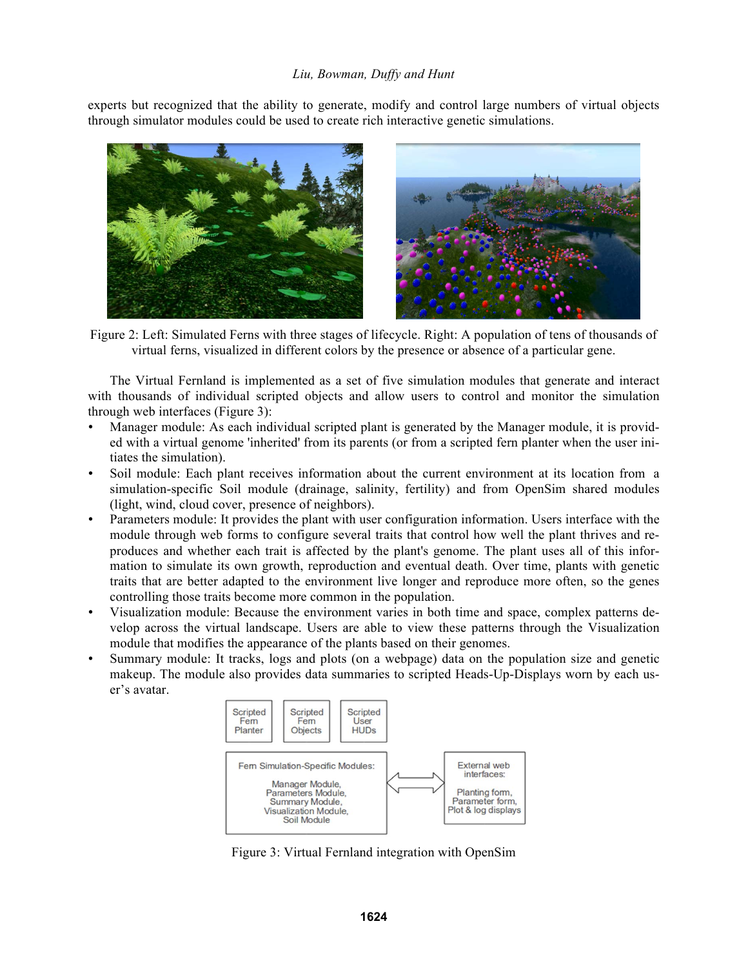experts but recognized that the ability to generate, modify and control large numbers of virtual objects through simulator modules could be used to create rich interactive genetic simulations.



Figure 2: Left: Simulated Ferns with three stages of lifecycle. Right: A population of tens of thousands of virtual ferns, visualized in different colors by the presence or absence of a particular gene.

The Virtual Fernland is implemented as a set of five simulation modules that generate and interact with thousands of individual scripted objects and allow users to control and monitor the simulation through web interfaces (Figure 3):

- Manager module: As each individual scripted plant is generated by the Manager module, it is provided with a virtual genome 'inherited' from its parents (or from a scripted fern planter when the user initiates the simulation).
- Soil module: Each plant receives information about the current environment at its location from a simulation-specific Soil module (drainage, salinity, fertility) and from OpenSim shared modules (light, wind, cloud cover, presence of neighbors).
- Parameters module: It provides the plant with user configuration information. Users interface with the module through web forms to configure several traits that control how well the plant thrives and reproduces and whether each trait is affected by the plant's genome. The plant uses all of this information to simulate its own growth, reproduction and eventual death. Over time, plants with genetic traits that are better adapted to the environment live longer and reproduce more often, so the genes controlling those traits become more common in the population.
- Visualization module: Because the environment varies in both time and space, complex patterns develop across the virtual landscape. Users are able to view these patterns through the Visualization module that modifies the appearance of the plants based on their genomes.
- Summary module: It tracks, logs and plots (on a webpage) data on the population size and genetic makeup. The module also provides data summaries to scripted Heads-Up-Displays worn by each user's avatar.



Figure 3: Virtual Fernland integration with OpenSim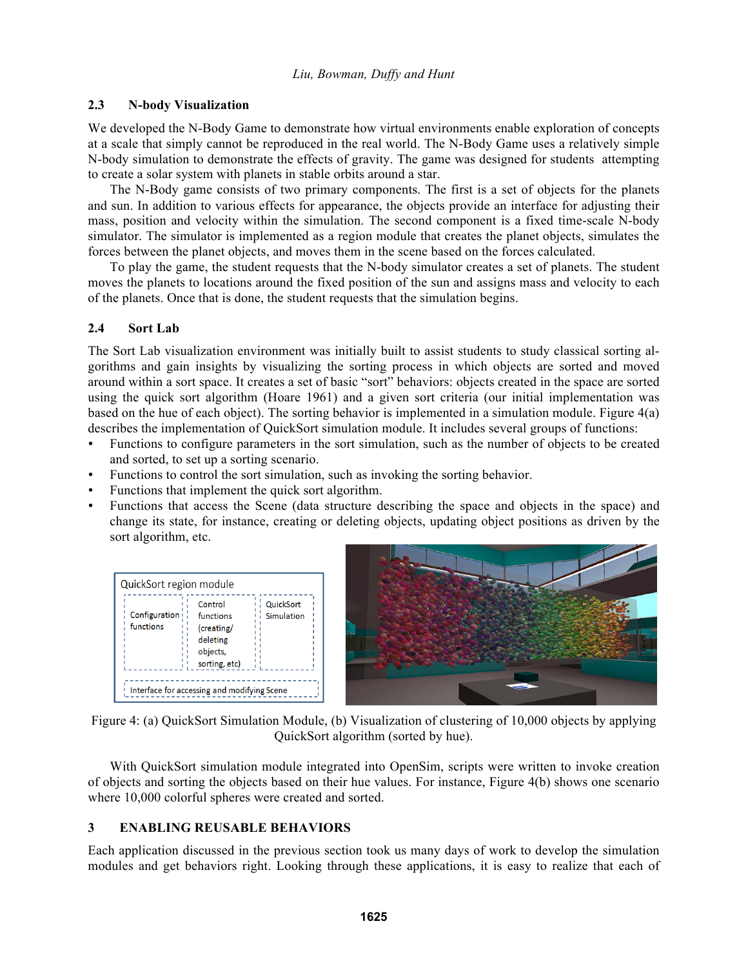## **2.3 N-body Visualization**

We developed the N-Body Game to demonstrate how virtual environments enable exploration of concepts at a scale that simply cannot be reproduced in the real world. The N-Body Game uses a relatively simple N-body simulation to demonstrate the effects of gravity. The game was designed for students attempting to create a solar system with planets in stable orbits around a star.

The N-Body game consists of two primary components. The first is a set of objects for the planets and sun. In addition to various effects for appearance, the objects provide an interface for adjusting their mass, position and velocity within the simulation. The second component is a fixed time-scale N-body simulator. The simulator is implemented as a region module that creates the planet objects, simulates the forces between the planet objects, and moves them in the scene based on the forces calculated.

To play the game, the student requests that the N-body simulator creates a set of planets. The student moves the planets to locations around the fixed position of the sun and assigns mass and velocity to each of the planets. Once that is done, the student requests that the simulation begins.

## **2.4 Sort Lab**

The Sort Lab visualization environment was initially built to assist students to study classical sorting algorithms and gain insights by visualizing the sorting process in which objects are sorted and moved around within a sort space. It creates a set of basic "sort" behaviors: objects created in the space are sorted using the quick sort algorithm (Hoare 1961) and a given sort criteria (our initial implementation was based on the hue of each object). The sorting behavior is implemented in a simulation module. Figure 4(a) describes the implementation of QuickSort simulation module. It includes several groups of functions:

- Functions to configure parameters in the sort simulation, such as the number of objects to be created and sorted, to set up a sorting scenario.
- Functions to control the sort simulation, such as invoking the sorting behavior.
- Functions that implement the quick sort algorithm.
- Functions that access the Scene (data structure describing the space and objects in the space) and change its state, for instance, creating or deleting objects, updating object positions as driven by the sort algorithm, etc.



Figure 4: (a) QuickSort Simulation Module, (b) Visualization of clustering of 10,000 objects by applying QuickSort algorithm (sorted by hue).

With QuickSort simulation module integrated into OpenSim, scripts were written to invoke creation of objects and sorting the objects based on their hue values. For instance, Figure 4(b) shows one scenario where 10,000 colorful spheres were created and sorted.

# **3 ENABLING REUSABLE BEHAVIORS**

Each application discussed in the previous section took us many days of work to develop the simulation modules and get behaviors right. Looking through these applications, it is easy to realize that each of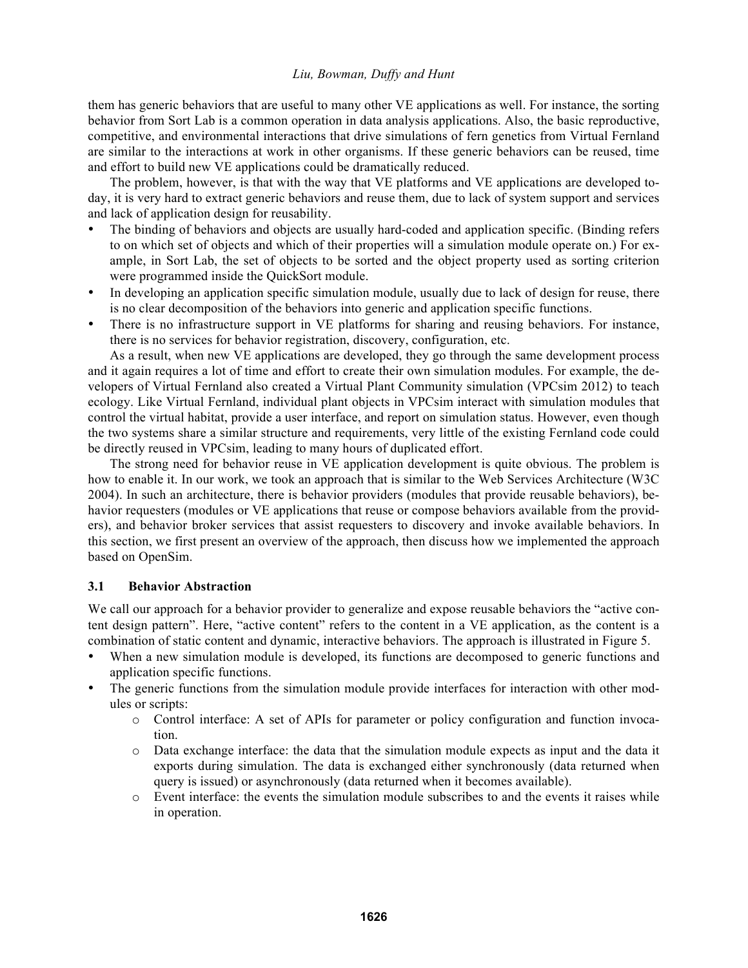them has generic behaviors that are useful to many other VE applications as well. For instance, the sorting behavior from Sort Lab is a common operation in data analysis applications. Also, the basic reproductive, competitive, and environmental interactions that drive simulations of fern genetics from Virtual Fernland are similar to the interactions at work in other organisms. If these generic behaviors can be reused, time and effort to build new VE applications could be dramatically reduced.

The problem, however, is that with the way that VE platforms and VE applications are developed today, it is very hard to extract generic behaviors and reuse them, due to lack of system support and services and lack of application design for reusability.

- The binding of behaviors and objects are usually hard-coded and application specific. (Binding refers to on which set of objects and which of their properties will a simulation module operate on.) For example, in Sort Lab, the set of objects to be sorted and the object property used as sorting criterion were programmed inside the QuickSort module.
- In developing an application specific simulation module, usually due to lack of design for reuse, there is no clear decomposition of the behaviors into generic and application specific functions.
- There is no infrastructure support in VE platforms for sharing and reusing behaviors. For instance, there is no services for behavior registration, discovery, configuration, etc.

As a result, when new VE applications are developed, they go through the same development process and it again requires a lot of time and effort to create their own simulation modules. For example, the developers of Virtual Fernland also created a Virtual Plant Community simulation (VPCsim 2012) to teach ecology. Like Virtual Fernland, individual plant objects in VPCsim interact with simulation modules that control the virtual habitat, provide a user interface, and report on simulation status. However, even though the two systems share a similar structure and requirements, very little of the existing Fernland code could be directly reused in VPCsim, leading to many hours of duplicated effort.

The strong need for behavior reuse in VE application development is quite obvious. The problem is how to enable it. In our work, we took an approach that is similar to the Web Services Architecture (W3C 2004). In such an architecture, there is behavior providers (modules that provide reusable behaviors), behavior requesters (modules or VE applications that reuse or compose behaviors available from the providers), and behavior broker services that assist requesters to discovery and invoke available behaviors. In this section, we first present an overview of the approach, then discuss how we implemented the approach based on OpenSim.

#### **3.1 Behavior Abstraction**

We call our approach for a behavior provider to generalize and expose reusable behaviors the "active content design pattern". Here, "active content" refers to the content in a VE application, as the content is a combination of static content and dynamic, interactive behaviors. The approach is illustrated in Figure 5.

- When a new simulation module is developed, its functions are decomposed to generic functions and application specific functions.
- The generic functions from the simulation module provide interfaces for interaction with other modules or scripts:
	- o Control interface: A set of APIs for parameter or policy configuration and function invocation.
	- o Data exchange interface: the data that the simulation module expects as input and the data it exports during simulation. The data is exchanged either synchronously (data returned when query is issued) or asynchronously (data returned when it becomes available).
	- o Event interface: the events the simulation module subscribes to and the events it raises while in operation.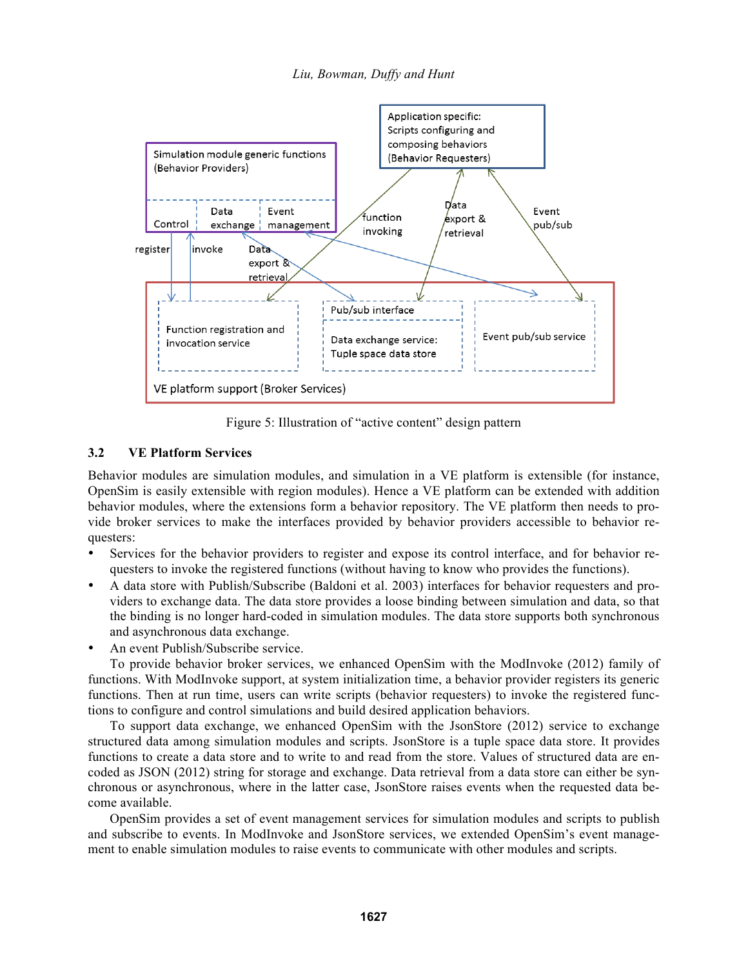*Liu, Bowman, Duffy and Hunt* 



Figure 5: Illustration of "active content" design pattern

#### **3.2 VE Platform Services**

Behavior modules are simulation modules, and simulation in a VE platform is extensible (for instance, OpenSim is easily extensible with region modules). Hence a VE platform can be extended with addition behavior modules, where the extensions form a behavior repository. The VE platform then needs to provide broker services to make the interfaces provided by behavior providers accessible to behavior requesters:

- Services for the behavior providers to register and expose its control interface, and for behavior requesters to invoke the registered functions (without having to know who provides the functions).
- A data store with Publish/Subscribe (Baldoni et al. 2003) interfaces for behavior requesters and providers to exchange data. The data store provides a loose binding between simulation and data, so that the binding is no longer hard-coded in simulation modules. The data store supports both synchronous and asynchronous data exchange.
- An event Publish/Subscribe service.

To provide behavior broker services, we enhanced OpenSim with the ModInvoke (2012) family of functions. With ModInvoke support, at system initialization time, a behavior provider registers its generic functions. Then at run time, users can write scripts (behavior requesters) to invoke the registered functions to configure and control simulations and build desired application behaviors.

To support data exchange, we enhanced OpenSim with the JsonStore (2012) service to exchange structured data among simulation modules and scripts. JsonStore is a tuple space data store. It provides functions to create a data store and to write to and read from the store. Values of structured data are encoded as JSON (2012) string for storage and exchange. Data retrieval from a data store can either be synchronous or asynchronous, where in the latter case, JsonStore raises events when the requested data become available.

OpenSim provides a set of event management services for simulation modules and scripts to publish and subscribe to events. In ModInvoke and JsonStore services, we extended OpenSim's event management to enable simulation modules to raise events to communicate with other modules and scripts.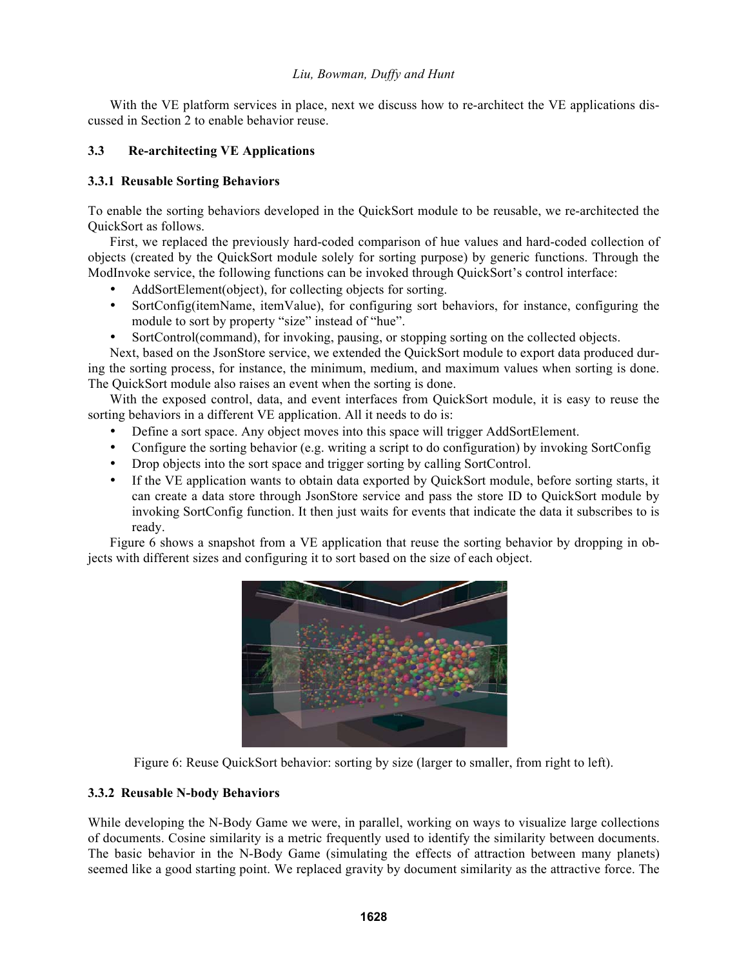With the VE platform services in place, next we discuss how to re-architect the VE applications discussed in Section 2 to enable behavior reuse.

## **3.3 Re-architecting VE Applications**

## **3.3.1 Reusable Sorting Behaviors**

To enable the sorting behaviors developed in the QuickSort module to be reusable, we re-architected the QuickSort as follows.

First, we replaced the previously hard-coded comparison of hue values and hard-coded collection of objects (created by the QuickSort module solely for sorting purpose) by generic functions. Through the ModInvoke service, the following functions can be invoked through QuickSort's control interface:

- AddSortElement(object), for collecting objects for sorting.
- SortConfig(itemName, itemValue), for configuring sort behaviors, for instance, configuring the module to sort by property "size" instead of "hue".
- SortControl(command), for invoking, pausing, or stopping sorting on the collected objects.

Next, based on the JsonStore service, we extended the QuickSort module to export data produced during the sorting process, for instance, the minimum, medium, and maximum values when sorting is done. The QuickSort module also raises an event when the sorting is done.

With the exposed control, data, and event interfaces from QuickSort module, it is easy to reuse the sorting behaviors in a different VE application. All it needs to do is:

- Define a sort space. Any object moves into this space will trigger AddSortElement.
- Configure the sorting behavior (e.g. writing a script to do configuration) by invoking SortConfig
- Drop objects into the sort space and trigger sorting by calling SortControl.
- If the VE application wants to obtain data exported by QuickSort module, before sorting starts, it can create a data store through JsonStore service and pass the store ID to QuickSort module by invoking SortConfig function. It then just waits for events that indicate the data it subscribes to is ready.

Figure 6 shows a snapshot from a VE application that reuse the sorting behavior by dropping in objects with different sizes and configuring it to sort based on the size of each object.



Figure 6: Reuse QuickSort behavior: sorting by size (larger to smaller, from right to left).

#### **3.3.2 Reusable N-body Behaviors**

While developing the N-Body Game we were, in parallel, working on ways to visualize large collections of documents. Cosine similarity is a metric frequently used to identify the similarity between documents. The basic behavior in the N-Body Game (simulating the effects of attraction between many planets) seemed like a good starting point. We replaced gravity by document similarity as the attractive force. The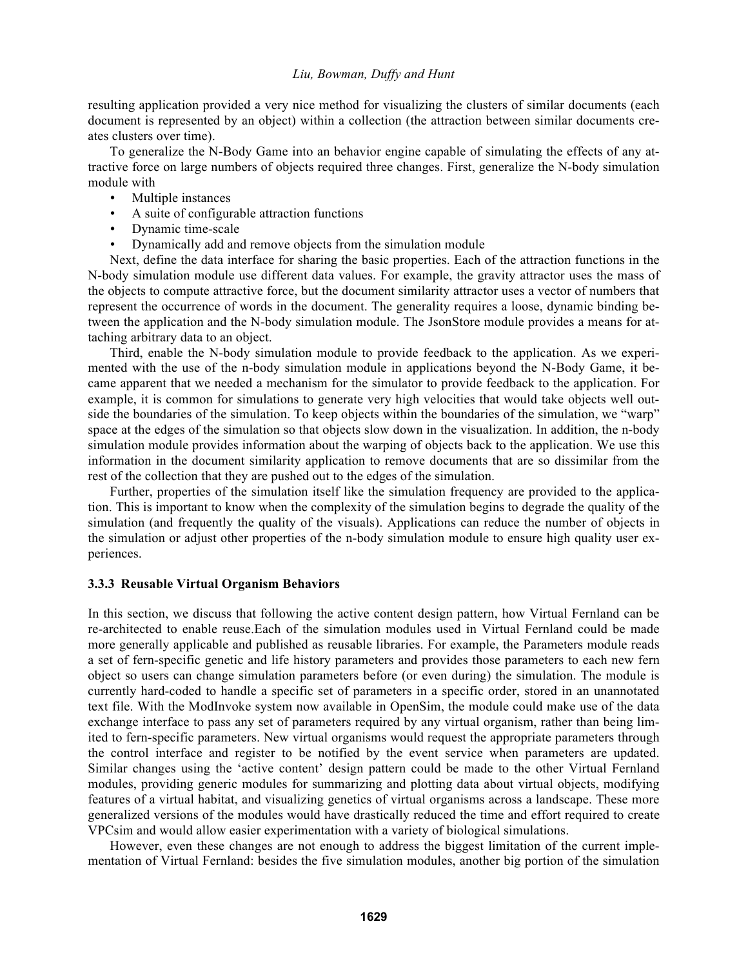resulting application provided a very nice method for visualizing the clusters of similar documents (each document is represented by an object) within a collection (the attraction between similar documents creates clusters over time).

To generalize the N-Body Game into an behavior engine capable of simulating the effects of any attractive force on large numbers of objects required three changes. First, generalize the N-body simulation module with

- Multiple instances
- A suite of configurable attraction functions<br>• Dynamic time-scale
- Dynamic time-scale
- Dynamically add and remove objects from the simulation module

Next, define the data interface for sharing the basic properties. Each of the attraction functions in the N-body simulation module use different data values. For example, the gravity attractor uses the mass of the objects to compute attractive force, but the document similarity attractor uses a vector of numbers that represent the occurrence of words in the document. The generality requires a loose, dynamic binding between the application and the N-body simulation module. The JsonStore module provides a means for attaching arbitrary data to an object.

Third, enable the N-body simulation module to provide feedback to the application. As we experimented with the use of the n-body simulation module in applications beyond the N-Body Game, it became apparent that we needed a mechanism for the simulator to provide feedback to the application. For example, it is common for simulations to generate very high velocities that would take objects well outside the boundaries of the simulation. To keep objects within the boundaries of the simulation, we "warp" space at the edges of the simulation so that objects slow down in the visualization. In addition, the n-body simulation module provides information about the warping of objects back to the application. We use this information in the document similarity application to remove documents that are so dissimilar from the rest of the collection that they are pushed out to the edges of the simulation.

Further, properties of the simulation itself like the simulation frequency are provided to the application. This is important to know when the complexity of the simulation begins to degrade the quality of the simulation (and frequently the quality of the visuals). Applications can reduce the number of objects in the simulation or adjust other properties of the n-body simulation module to ensure high quality user experiences.

#### **3.3.3 Reusable Virtual Organism Behaviors**

In this section, we discuss that following the active content design pattern, how Virtual Fernland can be re-architected to enable reuse.Each of the simulation modules used in Virtual Fernland could be made more generally applicable and published as reusable libraries. For example, the Parameters module reads a set of fern-specific genetic and life history parameters and provides those parameters to each new fern object so users can change simulation parameters before (or even during) the simulation. The module is currently hard-coded to handle a specific set of parameters in a specific order, stored in an unannotated text file. With the ModInvoke system now available in OpenSim, the module could make use of the data exchange interface to pass any set of parameters required by any virtual organism, rather than being limited to fern-specific parameters. New virtual organisms would request the appropriate parameters through the control interface and register to be notified by the event service when parameters are updated. Similar changes using the 'active content' design pattern could be made to the other Virtual Fernland modules, providing generic modules for summarizing and plotting data about virtual objects, modifying features of a virtual habitat, and visualizing genetics of virtual organisms across a landscape. These more generalized versions of the modules would have drastically reduced the time and effort required to create VPCsim and would allow easier experimentation with a variety of biological simulations.

However, even these changes are not enough to address the biggest limitation of the current implementation of Virtual Fernland: besides the five simulation modules, another big portion of the simulation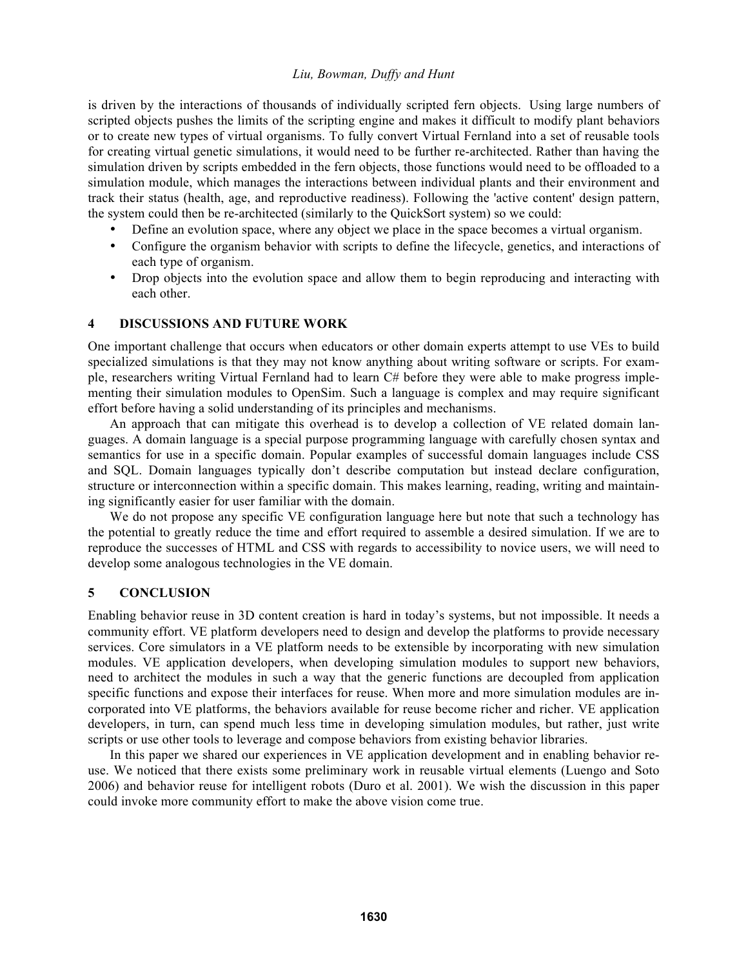is driven by the interactions of thousands of individually scripted fern objects. Using large numbers of scripted objects pushes the limits of the scripting engine and makes it difficult to modify plant behaviors or to create new types of virtual organisms. To fully convert Virtual Fernland into a set of reusable tools for creating virtual genetic simulations, it would need to be further re-architected. Rather than having the simulation driven by scripts embedded in the fern objects, those functions would need to be offloaded to a simulation module, which manages the interactions between individual plants and their environment and track their status (health, age, and reproductive readiness). Following the 'active content' design pattern, the system could then be re-architected (similarly to the QuickSort system) so we could:

- Define an evolution space, where any object we place in the space becomes a virtual organism.
- Configure the organism behavior with scripts to define the lifecycle, genetics, and interactions of each type of organism.
- Drop objects into the evolution space and allow them to begin reproducing and interacting with each other.

#### **4 DISCUSSIONS AND FUTURE WORK**

One important challenge that occurs when educators or other domain experts attempt to use VEs to build specialized simulations is that they may not know anything about writing software or scripts. For example, researchers writing Virtual Fernland had to learn C# before they were able to make progress implementing their simulation modules to OpenSim. Such a language is complex and may require significant effort before having a solid understanding of its principles and mechanisms.

An approach that can mitigate this overhead is to develop a collection of VE related domain languages. A domain language is a special purpose programming language with carefully chosen syntax and semantics for use in a specific domain. Popular examples of successful domain languages include CSS and SQL. Domain languages typically don't describe computation but instead declare configuration, structure or interconnection within a specific domain. This makes learning, reading, writing and maintaining significantly easier for user familiar with the domain.

We do not propose any specific VE configuration language here but note that such a technology has the potential to greatly reduce the time and effort required to assemble a desired simulation. If we are to reproduce the successes of HTML and CSS with regards to accessibility to novice users, we will need to develop some analogous technologies in the VE domain.

#### **5 CONCLUSION**

Enabling behavior reuse in 3D content creation is hard in today's systems, but not impossible. It needs a community effort. VE platform developers need to design and develop the platforms to provide necessary services. Core simulators in a VE platform needs to be extensible by incorporating with new simulation modules. VE application developers, when developing simulation modules to support new behaviors, need to architect the modules in such a way that the generic functions are decoupled from application specific functions and expose their interfaces for reuse. When more and more simulation modules are incorporated into VE platforms, the behaviors available for reuse become richer and richer. VE application developers, in turn, can spend much less time in developing simulation modules, but rather, just write scripts or use other tools to leverage and compose behaviors from existing behavior libraries.

In this paper we shared our experiences in VE application development and in enabling behavior reuse. We noticed that there exists some preliminary work in reusable virtual elements (Luengo and Soto 2006) and behavior reuse for intelligent robots (Duro et al. 2001). We wish the discussion in this paper could invoke more community effort to make the above vision come true.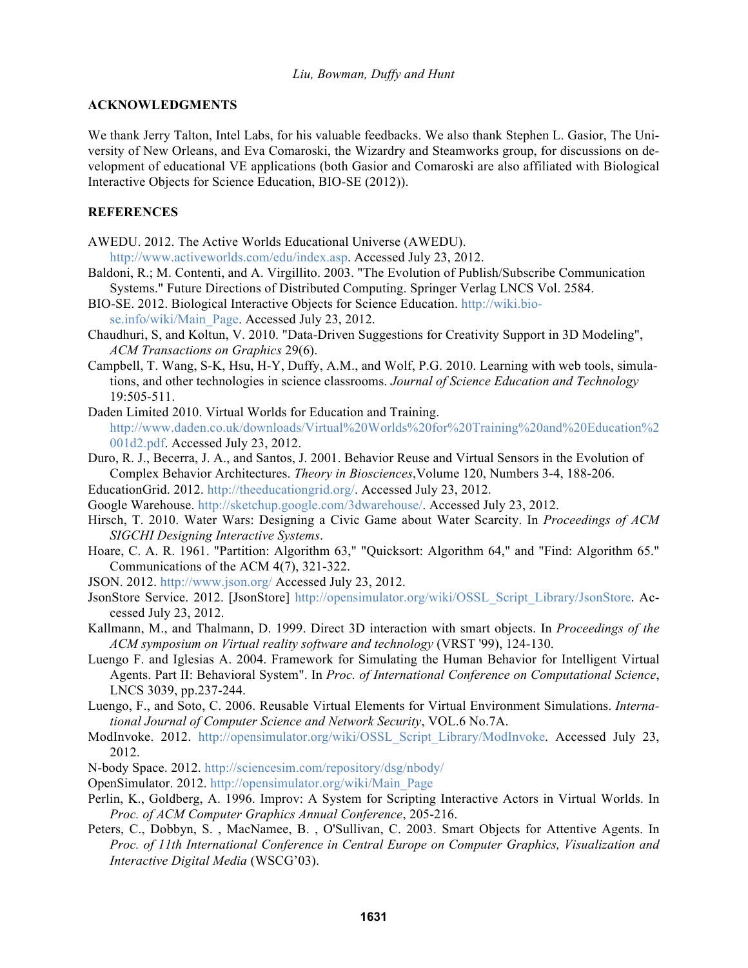## **ACKNOWLEDGMENTS**

We thank Jerry Talton, Intel Labs, for his valuable feedbacks. We also thank Stephen L. Gasior, The University of New Orleans, and Eva Comaroski, the Wizardry and Steamworks group, for discussions on development of educational VE applications (both Gasior and Comaroski are also affiliated with Biological Interactive Objects for Science Education, BIO-SE (2012)).

## **REFERENCES**

AWEDU. 2012. The Active Worlds Educational Universe (AWEDU).

http://www.activeworlds.com/edu/index.asp. Accessed July 23, 2012.

- Baldoni, R.; M. Contenti, and A. Virgillito. 2003. "The Evolution of Publish/Subscribe Communication Systems." Future Directions of Distributed Computing. Springer Verlag LNCS Vol. 2584.
- BIO-SE. 2012. Biological Interactive Objects for Science Education. http://wiki.biose.info/wiki/Main\_Page. Accessed July 23, 2012.
- Chaudhuri, S, and Koltun, V. 2010. "Data-Driven Suggestions for Creativity Support in 3D Modeling", *ACM Transactions on Graphics* 29(6).
- Campbell, T. Wang, S-K, Hsu, H-Y, Duffy, A.M., and Wolf, P.G. 2010. Learning with web tools, simulations, and other technologies in science classrooms. *Journal of Science Education and Technology* 19:505-511.
- Daden Limited 2010. Virtual Worlds for Education and Training. http://www.daden.co.uk/downloads/Virtual%20Worlds%20for%20Training%20and%20Education%2 001d2.pdf. Accessed July 23, 2012.
- Duro, R. J., Becerra, J. A., and Santos, J. 2001. Behavior Reuse and Virtual Sensors in the Evolution of Complex Behavior Architectures. *Theory in Biosciences*,Volume 120, Numbers 3-4, 188-206.
- EducationGrid. 2012. http://theeducationgrid.org/. Accessed July 23, 2012.
- Google Warehouse. http://sketchup.google.com/3dwarehouse/. Accessed July 23, 2012.
- Hirsch, T. 2010. Water Wars: Designing a Civic Game about Water Scarcity. In *Proceedings of ACM SIGCHI Designing Interactive Systems*.
- Hoare, C. A. R. 1961. "Partition: Algorithm 63," "Quicksort: Algorithm 64," and "Find: Algorithm 65." Communications of the ACM 4(7), 321-322.
- JSON. 2012. http://www.json.org/ Accessed July 23, 2012.
- JsonStore Service. 2012. [JsonStore] http://opensimulator.org/wiki/OSSL\_Script\_Library/JsonStore. Accessed July 23, 2012.
- Kallmann, M., and Thalmann, D. 1999. Direct 3D interaction with smart objects. In *Proceedings of the ACM symposium on Virtual reality software and technology* (VRST '99), 124-130.
- Luengo F. and Iglesias A. 2004. Framework for Simulating the Human Behavior for Intelligent Virtual Agents. Part II: Behavioral System". In *Proc. of International Conference on Computational Science*, LNCS 3039, pp.237-244.
- Luengo, F., and Soto, C. 2006. Reusable Virtual Elements for Virtual Environment Simulations. *International Journal of Computer Science and Network Security*, VOL.6 No.7A.
- ModInvoke. 2012. http://opensimulator.org/wiki/OSSL\_Script\_Library/ModInvoke. Accessed July 23, 2012.
- N-body Space. 2012. http://sciencesim.com/repository/dsg/nbody/
- OpenSimulator. 2012. http://opensimulator.org/wiki/Main\_Page
- Perlin, K., Goldberg, A. 1996. Improv: A System for Scripting Interactive Actors in Virtual Worlds. In *Proc. of ACM Computer Graphics Annual Conference*, 205-216.
- Peters, C., Dobbyn, S. , MacNamee, B. , O'Sullivan, C. 2003. Smart Objects for Attentive Agents. In *Proc. of 11th International Conference in Central Europe on Computer Graphics, Visualization and Interactive Digital Media* (WSCG'03).